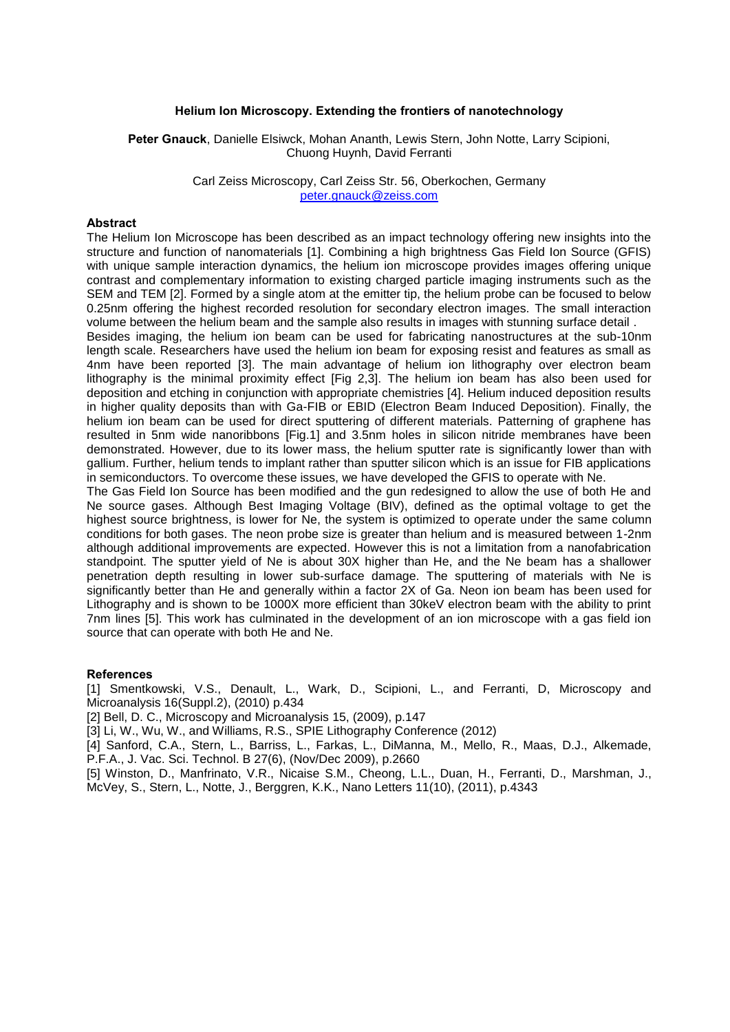## **Helium Ion Microscopy. Extending the frontiers of nanotechnology**

**Peter Gnauck**, Danielle Elsiwck, Mohan Ananth, Lewis Stern, John Notte, Larry Scipioni, Chuong Huynh, David Ferranti

> Carl Zeiss Microscopy, Carl Zeiss Str. 56, Oberkochen, Germany [peter.gnauck@zeiss.com](mailto:Contact@E-mail)

# **Abstract**

The Helium Ion Microscope has been described as an impact technology offering new insights into the structure and function of nanomaterials [1]. Combining a high brightness Gas Field Ion Source (GFIS) with unique sample interaction dynamics, the helium ion microscope provides images offering unique contrast and complementary information to existing charged particle imaging instruments such as the SEM and TEM [2]. Formed by a single atom at the emitter tip, the helium probe can be focused to below 0.25nm offering the highest recorded resolution for secondary electron images. The small interaction volume between the helium beam and the sample also results in images with stunning surface detail .

Besides imaging, the helium ion beam can be used for fabricating nanostructures at the sub-10nm length scale. Researchers have used the helium ion beam for exposing resist and features as small as 4nm have been reported [3]. The main advantage of helium ion lithography over electron beam lithography is the minimal proximity effect [Fig 2,3]. The helium ion beam has also been used for deposition and etching in conjunction with appropriate chemistries [4]. Helium induced deposition results in higher quality deposits than with Ga-FIB or EBID (Electron Beam Induced Deposition). Finally, the helium ion beam can be used for direct sputtering of different materials. Patterning of graphene has resulted in 5nm wide nanoribbons [Fig.1] and 3.5nm holes in silicon nitride membranes have been demonstrated. However, due to its lower mass, the helium sputter rate is significantly lower than with gallium. Further, helium tends to implant rather than sputter silicon which is an issue for FIB applications in semiconductors. To overcome these issues, we have developed the GFIS to operate with Ne.

The Gas Field Ion Source has been modified and the gun redesigned to allow the use of both He and Ne source gases. Although Best Imaging Voltage (BIV), defined as the optimal voltage to get the highest source brightness, is lower for Ne, the system is optimized to operate under the same column conditions for both gases. The neon probe size is greater than helium and is measured between 1-2nm although additional improvements are expected. However this is not a limitation from a nanofabrication standpoint. The sputter yield of Ne is about 30X higher than He, and the Ne beam has a shallower penetration depth resulting in lower sub-surface damage. The sputtering of materials with Ne is significantly better than He and generally within a factor 2X of Ga. Neon ion beam has been used for Lithography and is shown to be 1000X more efficient than 30keV electron beam with the ability to print 7nm lines [5]. This work has culminated in the development of an ion microscope with a gas field ion source that can operate with both He and Ne.

### **References**

[1] Smentkowski, V.S., Denault, L., Wark, D., Scipioni, L., and Ferranti, D, Microscopy and Microanalysis 16(Suppl.2), (2010) p.434

[2] Bell, D. C., Microscopy and Microanalysis 15, (2009), p.147

[3] Li, W., Wu, W., and Williams, R.S., SPIE Lithography Conference (2012)

[4] Sanford, C.A., Stern, L., Barriss, L., Farkas, L., DiManna, M., Mello, R., Maas, D.J., Alkemade, P.F.A., J. Vac. Sci. Technol. B 27(6), (Nov/Dec 2009), p.2660

[5] Winston, D., Manfrinato, V.R., Nicaise S.M., Cheong, L.L., Duan, H., Ferranti, D., Marshman, J., McVey, S., Stern, L., Notte, J., Berggren, K.K., Nano Letters 11(10), (2011), p.4343